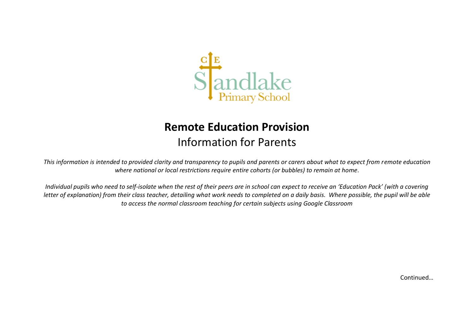

## **Remote Education Provision** Information for Parents

*This information is intended to provided clarity and transparency to pupils and parents or carers about what to expect from remote education where national or local restrictions require entire cohorts (or bubbles) to remain at home.*

*Individual pupils who need to self-isolate when the rest of their peers are in school can expect to receive an 'Education Pack' (with a covering letter of explanation) from their class teacher, detailing what work needs to completed on a daily basis. Where possible, the pupil will be able to access the normal classroom teaching for certain subjects using Google Classroom*

Continued…